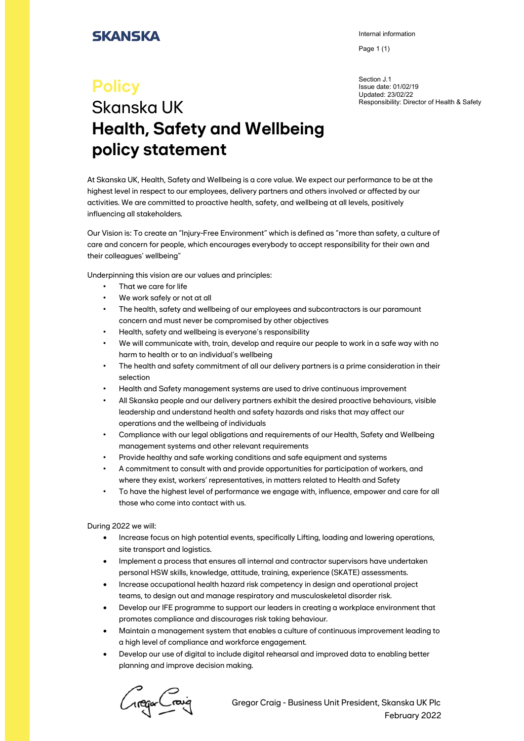## **SKANSKA**

Internal information

Page 1 (1)

Section J.1 Issue date: 01/02/19 Updated: 23/02/22 Responsibility: Director of Health & Safety

## **Policy** Skanska UK **Health, Safety and Wellbeing policy statement**

At Skanska UK, Health, Safety and Wellbeing is a core value. We expect our performance to be at the highest level in respect to our employees, delivery partners and others involved or affected by our activities. We are committed to proactive health, safety, and wellbeing at all levels, positively influencing all stakeholders.

Our Vision is: To create an "Injury-Free Environment" which is defined as "more than safety, a culture of care and concern for people, which encourages everybody to accept responsibility for their own and their colleagues' wellbeing"

Underpinning this vision are our values and principles:

- That we care for life
- We work safely or not at all
- The health, safety and wellbeing of our employees and subcontractors is our paramount concern and must never be compromised by other objectives
- Health, safety and wellbeing is everyone's responsibility
- We will communicate with, train, develop and require our people to work in a safe way with no harm to health or to an individual's wellbeing
- The health and safety commitment of all our delivery partners is a prime consideration in their selection
- Health and Safety management systems are used to drive continuous improvement
- All Skanska people and our delivery partners exhibit the desired proactive behaviours, visible leadership and understand health and safety hazards and risks that may affect our operations and the wellbeing of individuals
- Compliance with our legal obligations and requirements of our Health, Safety and Wellbeing management systems and other relevant requirements
- Provide healthy and safe working conditions and safe equipment and systems
- A commitment to consult with and provide opportunities for participation of workers, and where they exist, workers' representatives, in matters related to Health and Safety
- To have the highest level of performance we engage with, influence, empower and care for all those who come into contact with us.

During 2022 we will:

- Increase focus on high potential events, specifically Lifting, loading and lowering operations, site transport and logistics.
- Implement a process that ensures all internal and contractor supervisors have undertaken personal HSW skills, knowledge, attitude, training, experience (SKATE) assessments.
- Increase occupational health hazard risk competency in design and operational project teams, to design out and manage respiratory and musculoskeletal disorder risk.
- Develop our IFE programme to support our leaders in creating a workplace environment that promotes compliance and discourages risk taking behaviour.
- Maintain a management system that enables a culture of continuous improvement leading to a high level of compliance and workforce engagement.
- Develop our use of digital to include digital rehearsal and improved data to enabling better planning and improve decision making.

regar Craig